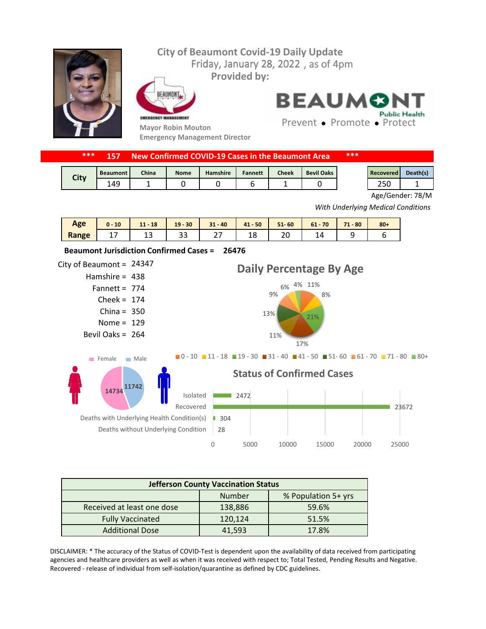## Friday, January 28, 2022, as of 4pm **City of Beaumont Covid-19 Daily Update Provided by:**



:AUMON EMERGENCY MANAGEMENT

**Mayor Robin Mouton Emergency Management Director** **BEAUMON Public Health** 

Prevent • Promote • Protect

| *** |  | 157 New Confirmed COVID-19 Cases in the Beaumont Area | *** |
|-----|--|-------------------------------------------------------|-----|
|-----|--|-------------------------------------------------------|-----|

| <b>City</b> | <b>Beaumont</b> | <b>China</b> | <b>Nome</b> | <b>Hamshire</b> | <b>Fannett</b> | <b>Cheek</b> | <b>Bevil Oaks</b> | <b>Recovered</b>            | Death(s) |
|-------------|-----------------|--------------|-------------|-----------------|----------------|--------------|-------------------|-----------------------------|----------|
|             | 149             |              |             |                 |                |              |                   | $\sim$ $\sim$ $\sim$<br>zou |          |

Age/Gender: 78/M

*With Underlying Medical Conditions*

| Age   | 10<br>$0 -$ | $11 - 18$ | $19 - 30$ | $31 - 40$                   | $41 - 50$ | $51 - 60$ | $61 - 70$ | $-80$<br>71 | $80 +$ |
|-------|-------------|-----------|-----------|-----------------------------|-----------|-----------|-----------|-------------|--------|
| Range | . .         | ∸~        | ر ر       | $\mathbin{\lnot}$<br>$\sim$ | ۱O<br>ŦΟ  | ZU        |           |             |        |



| <b>Jefferson County Vaccination Status</b> |         |                     |  |  |  |  |
|--------------------------------------------|---------|---------------------|--|--|--|--|
|                                            | Number  | % Population 5+ yrs |  |  |  |  |
| Received at least one dose                 | 138,886 | 59.6%               |  |  |  |  |
| <b>Fully Vaccinated</b>                    | 120,124 | 51.5%               |  |  |  |  |
| <b>Additional Dose</b>                     | 41.593  | 17.8%               |  |  |  |  |

DISCLAIMER: \* The accuracy of the Status of COVID-Test is dependent upon the availability of data received from participating agencies and healthcare providers as well as when it was received with respect to; Total Tested, Pending Results and Negative. Recovered - release of individual from self-isolation/quarantine as defined by CDC guidelines.